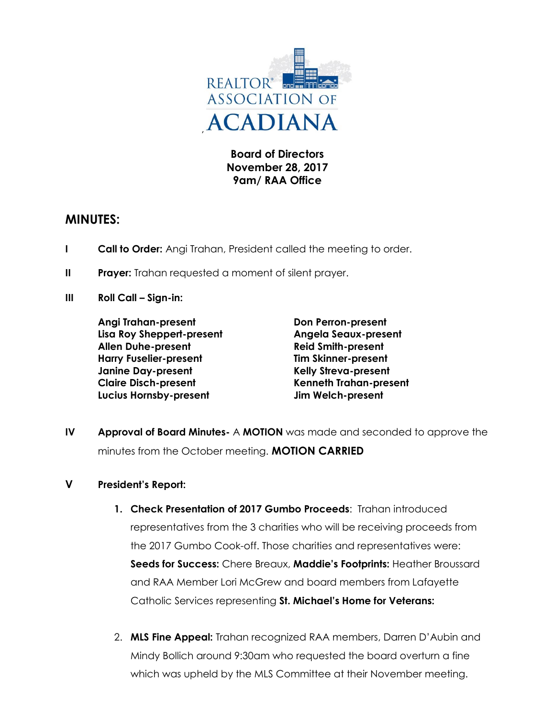

**Board of Directors November 28, 2017 9am/ RAA Office**

## **MINUTES:**

- **I Call to Order:** Angi Trahan, President called the meeting to order.
- **II** Prayer: Trahan requested a moment of silent prayer.
- **III Roll Call – Sign-in:**

**Angi Trahan-present Don Perron-present Lisa Roy Sheppert-present Angela Seaux-present Allen Duhe-present Reid Smith-present Harry Fuselier-present Tim Skinner-present Janine Day-present Kelly Streva-present Claire Disch-present Kenneth Trahan-present Lucius Hornsby-present Jim Welch-present**

**IV Approval of Board Minutes-** A **MOTION** was made and seconded to approve the minutes from the October meeting. **MOTION CARRIED**

### **V President's Report:**

- **1. Check Presentation of 2017 Gumbo Proceeds**: Trahan introduced representatives from the 3 charities who will be receiving proceeds from the 2017 Gumbo Cook-off. Those charities and representatives were: **Seeds for Success:** Chere Breaux, **Maddie's Footprints:** Heather Broussard and RAA Member Lori McGrew and board members from Lafayette Catholic Services representing **St. Michael's Home for Veterans:**
- 2. **MLS Fine Appeal:** Trahan recognized RAA members, Darren D'Aubin and Mindy Bollich around 9:30am who requested the board overturn a fine which was upheld by the MLS Committee at their November meeting.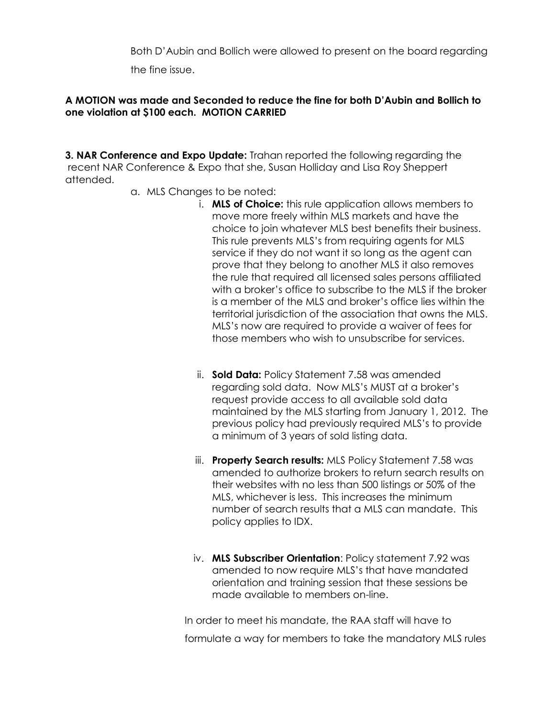Both D'Aubin and Bollich were allowed to present on the board regarding the fine issue.

#### **A MOTION was made and Seconded to reduce the fine for both D'Aubin and Bollich to one violation at \$100 each. MOTION CARRIED**

**3. NAR Conference and Expo Update:** Trahan reported the following regarding the recent NAR Conference & Expo that she, Susan Holliday and Lisa Roy Sheppert attended.

- a. MLS Changes to be noted:
	- i. **MLS of Choice:** this rule application allows members to move more freely within MLS markets and have the choice to join whatever MLS best benefits their business. This rule prevents MLS's from requiring agents for MLS service if they do not want it so long as the agent can prove that they belong to another MLS it also removes the rule that required all licensed sales persons affiliated with a broker's office to subscribe to the MLS if the broker is a member of the MLS and broker's office lies within the territorial jurisdiction of the association that owns the MLS. MLS's now are required to provide a waiver of fees for those members who wish to unsubscribe for services.
	- ii. **Sold Data:** Policy Statement 7.58 was amended regarding sold data. Now MLS's MUST at a broker's request provide access to all available sold data maintained by the MLS starting from January 1, 2012. The previous policy had previously required MLS's to provide a minimum of 3 years of sold listing data.
	- iii. **Property Search results:** MLS Policy Statement 7.58 was amended to authorize brokers to return search results on their websites with no less than 500 listings or 50% of the MLS, whichever is less. This increases the minimum number of search results that a MLS can mandate. This policy applies to IDX.
	- iv. **MLS Subscriber Orientation**: Policy statement 7.92 was amended to now require MLS's that have mandated orientation and training session that these sessions be made available to members on-line.

In order to meet his mandate, the RAA staff will have to formulate a way for members to take the mandatory MLS rules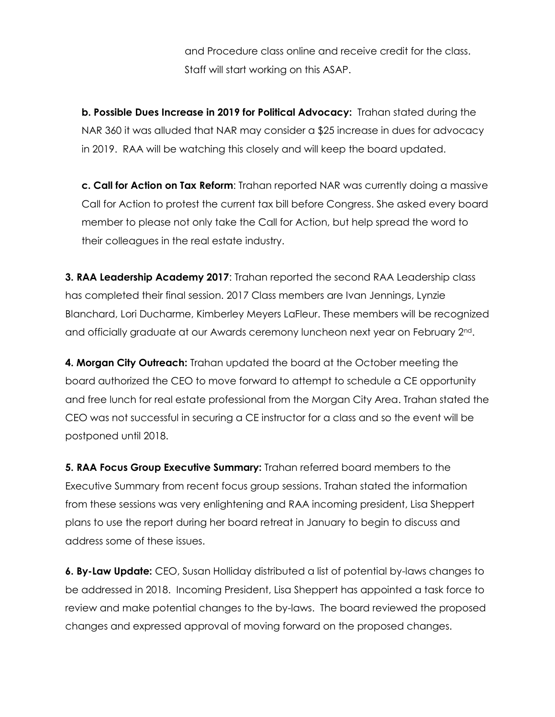and Procedure class online and receive credit for the class. Staff will start working on this ASAP.

**b. Possible Dues Increase in 2019 for Political Advocacy:** Trahan stated during the NAR 360 it was alluded that NAR may consider a \$25 increase in dues for advocacy in 2019. RAA will be watching this closely and will keep the board updated.

**c. Call for Action on Tax Reform**: Trahan reported NAR was currently doing a massive Call for Action to protest the current tax bill before Congress. She asked every board member to please not only take the Call for Action, but help spread the word to their colleagues in the real estate industry.

**3. RAA Leadership Academy 2017**: Trahan reported the second RAA Leadership class has completed their final session. 2017 Class members are Ivan Jennings, Lynzie Blanchard, Lori Ducharme, Kimberley Meyers LaFleur. These members will be recognized and officially graduate at our Awards ceremony luncheon next year on February 2nd.

**4. Morgan City Outreach:** Trahan updated the board at the October meeting the board authorized the CEO to move forward to attempt to schedule a CE opportunity and free lunch for real estate professional from the Morgan City Area. Trahan stated the CEO was not successful in securing a CE instructor for a class and so the event will be postponed until 2018.

**5. RAA Focus Group Executive Summary:** Trahan referred board members to the Executive Summary from recent focus group sessions. Trahan stated the information from these sessions was very enlightening and RAA incoming president, Lisa Sheppert plans to use the report during her board retreat in January to begin to discuss and address some of these issues.

**6. By-Law Update:** CEO, Susan Holliday distributed a list of potential by-laws changes to be addressed in 2018. Incoming President, Lisa Sheppert has appointed a task force to review and make potential changes to the by-laws. The board reviewed the proposed changes and expressed approval of moving forward on the proposed changes.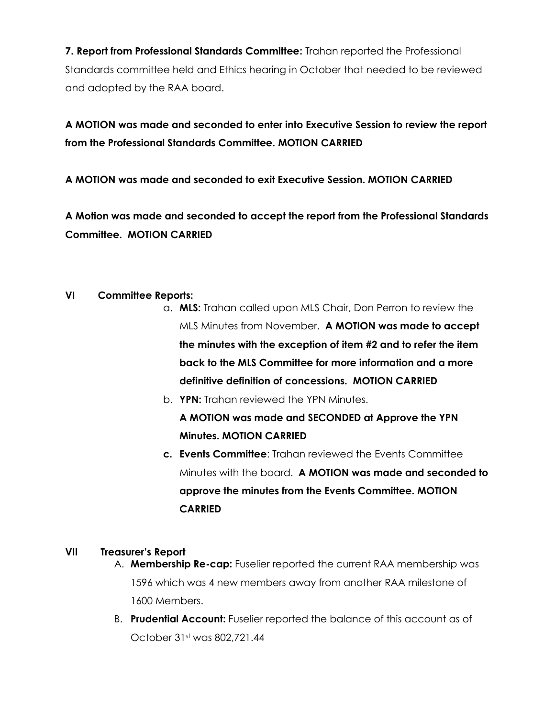**7. Report from Professional Standards Committee:** Trahan reported the Professional Standards committee held and Ethics hearing in October that needed to be reviewed and adopted by the RAA board.

# **A MOTION was made and seconded to enter into Executive Session to review the report from the Professional Standards Committee. MOTION CARRIED**

**A MOTION was made and seconded to exit Executive Session. MOTION CARRIED**

**A Motion was made and seconded to accept the report from the Professional Standards Committee. MOTION CARRIED**

### **VI Committee Reports:**

- a. **MLS:** Trahan called upon MLS Chair, Don Perron to review the MLS Minutes from November. **A MOTION was made to accept the minutes with the exception of item #2 and to refer the item back to the MLS Committee for more information and a more definitive definition of concessions. MOTION CARRIED**
- b. **YPN:** Trahan reviewed the YPN Minutes. **A MOTION was made and SECONDED at Approve the YPN Minutes. MOTION CARRIED**
- **c. Events Committee**: Trahan reviewed the Events Committee Minutes with the board. **A MOTION was made and seconded to approve the minutes from the Events Committee. MOTION CARRIED**

### **VII Treasurer's Report**

- A. **Membership Re-cap:** Fuselier reported the current RAA membership was 1596 which was 4 new members away from another RAA milestone of 1600 Members.
- B. **Prudential Account:** Fuselier reported the balance of this account as of October 31st was 802,721.44